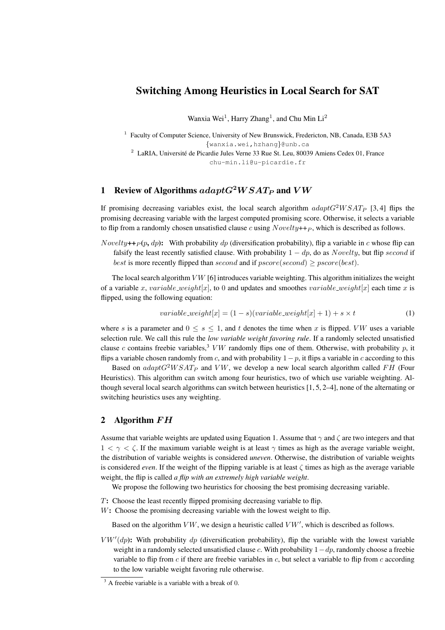# Switching Among Heuristics in Local Search for SAT

Wanxia Wei<sup>1</sup>, Harry Zhang<sup>1</sup>, and Chu Min Li<sup>2</sup>

<sup>1</sup> Faculty of Computer Science, University of New Brunswick, Fredericton, NB, Canada, E3B 5A3 {wanxia.wei,hzhang}@unb.ca

<sup>2</sup> LaRIA, Université de Picardie Jules Verne 33 Rue St. Leu, 80039 Amiens Cedex 01, France chu-min.li@u-picardie.fr

## 1 Review of Algorithms  $adaptG^2WSAT_P$  and  $VW$

If promising decreasing variables exist, the local search algorithm  $adaptG^2WSAT_P$  [3,4] flips the promising decreasing variable with the largest computed promising score. Otherwise, it selects a variable to flip from a randomly chosen unsatisfied clause  $c$  using  $Novelty++p$ , which is described as follows.

Novelty++ $_P(p, dp)$ : With probability dp (diversification probability), flip a variable in c whose flip can falsify the least recently satisfied clause. With probability  $1 - dp$ , do as Novelty, but flip second if best is more recently flipped than second and if  $pscore(second) \geq pscore(best)$ .

The local search algorithm  $VW$  [6] introduces variable weighting. This algorithm initializes the weight of a variable x, variable weight[x], to 0 and updates and smoothes variable weight[x] each time x is flipped, using the following equation:

$$
variable\_weight[x] = (1 - s)(variable\_weight[x] + 1) + s \times t
$$
\n<sup>(1)</sup>

where s is a parameter and  $0 \leq s \leq 1$ , and t denotes the time when x is flipped. VW uses a variable selection rule. We call this rule the *low variable weight favoring rule*. If a randomly selected unsatisfied clause c contains freebie variables,<sup>3</sup> VW randomly flips one of them. Otherwise, with probability p, it flips a variable chosen randomly from c, and with probability  $1-p$ , it flips a variable in c according to this

Based on  $adaptG^2WSAT_P$  and VW, we develop a new local search algorithm called FH (Four Heuristics). This algorithm can switch among four heuristics, two of which use variable weighting. Although several local search algorithms can switch between heuristics [1, 5, 2–4], none of the alternating or switching heuristics uses any weighting.

### 2 Algorithm FH

Assume that variable weights are updated using Equation 1. Assume that  $\gamma$  and  $\zeta$  are two integers and that  $1 < \gamma < \zeta$ . If the maximum variable weight is at least  $\gamma$  times as high as the average variable weight, the distribution of variable weights is considered *uneven*. Otherwise, the distribution of variable weights is considered *even*. If the weight of the flipping variable is at least  $\zeta$  times as high as the average variable weight, the flip is called *a flip with an extremely high variable weight*.

We propose the following two heuristics for choosing the best promising decreasing variable.

- T: Choose the least recently flipped promising decreasing variable to flip.
- W: Choose the promising decreasing variable with the lowest weight to flip.

Based on the algorithm  $VW$ , we design a heuristic called  $VW'$ , which is described as follows.

 $V W'(dp)$ : With probability  $dp$  (diversification probability), flip the variable with the lowest variable weight in a randomly selected unsatisfied clause c. With probability  $1-dp$ , randomly choose a freebie variable to flip from  $c$  if there are freebie variables in  $c$ , but select a variable to flip from  $c$  according to the low variable weight favoring rule otherwise.

 $3$  A freebie variable is a variable with a break of 0.